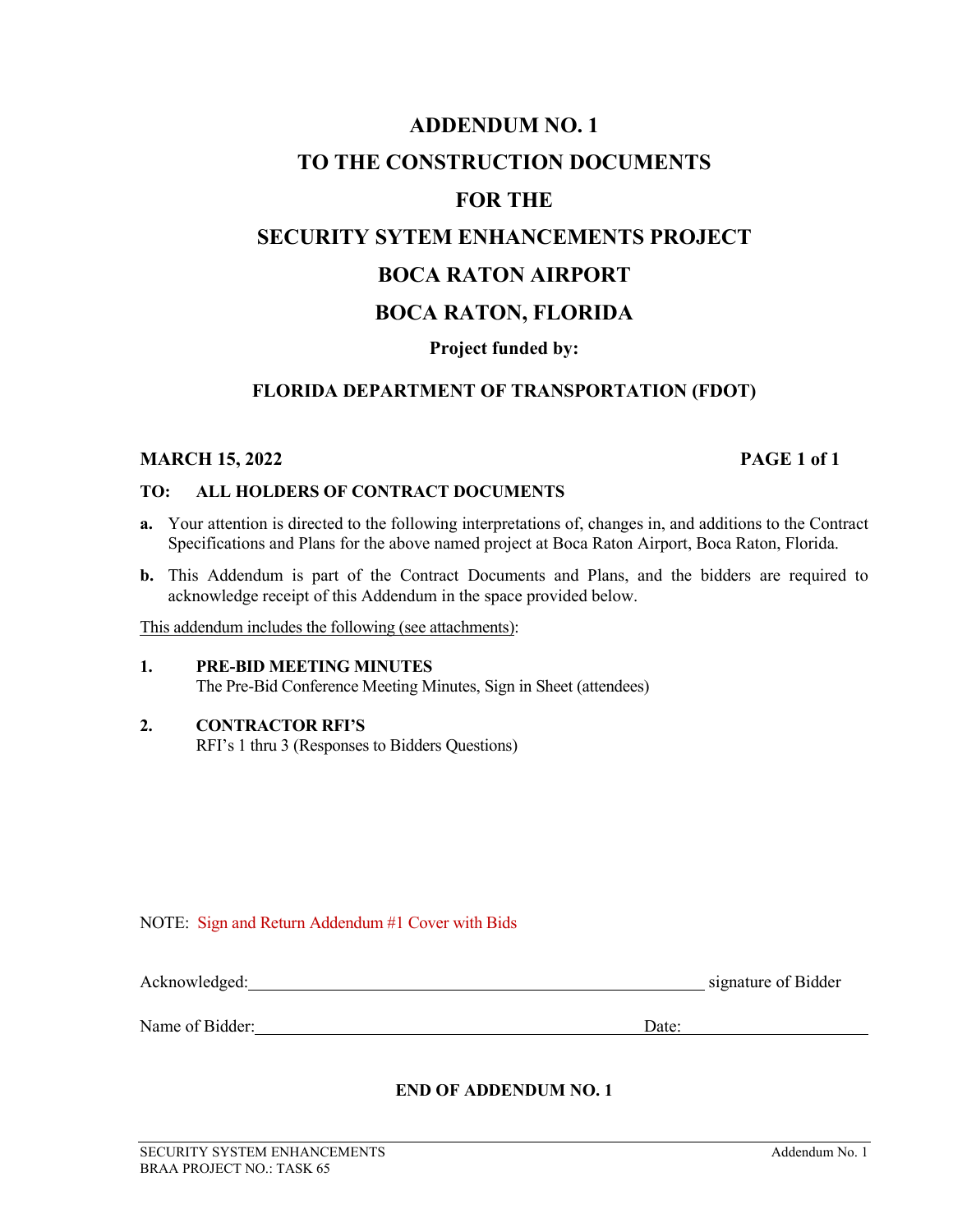## **ADDENDUM NO. 1 TO THE CONSTRUCTION DOCUMENTS FOR THE SECURITY SYTEM ENHANCEMENTS PROJECT BOCA RATON AIRPORT BOCA RATON, FLORIDA Project funded by:**

### **FLORIDA DEPARTMENT OF TRANSPORTATION (FDOT)**

### **MARCH 15, 2022 PAGE 1 of 1**

### **TO: ALL HOLDERS OF CONTRACT DOCUMENTS**

- **a.** Your attention is directed to the following interpretations of, changes in, and additions to the Contract Specifications and Plans for the above named project at Boca Raton Airport, Boca Raton, Florida.
- **b.** This Addendum is part of the Contract Documents and Plans, and the bidders are required to acknowledge receipt of this Addendum in the space provided below.

This addendum includes the following (see attachments):

### **1. PRE-BID MEETING MINUTES** The Pre-Bid Conference Meeting Minutes, Sign in Sheet (attendees)

### **2. CONTRACTOR RFI'S**

RFI's 1 thru 3 (Responses to Bidders Questions)

NOTE: Sign and Return Addendum #1 Cover with Bids

| Acknowledged:   |       | signature of Bidder |
|-----------------|-------|---------------------|
|                 |       |                     |
| Name of Bidder: | Date: |                     |

### **END OF ADDENDUM NO. 1**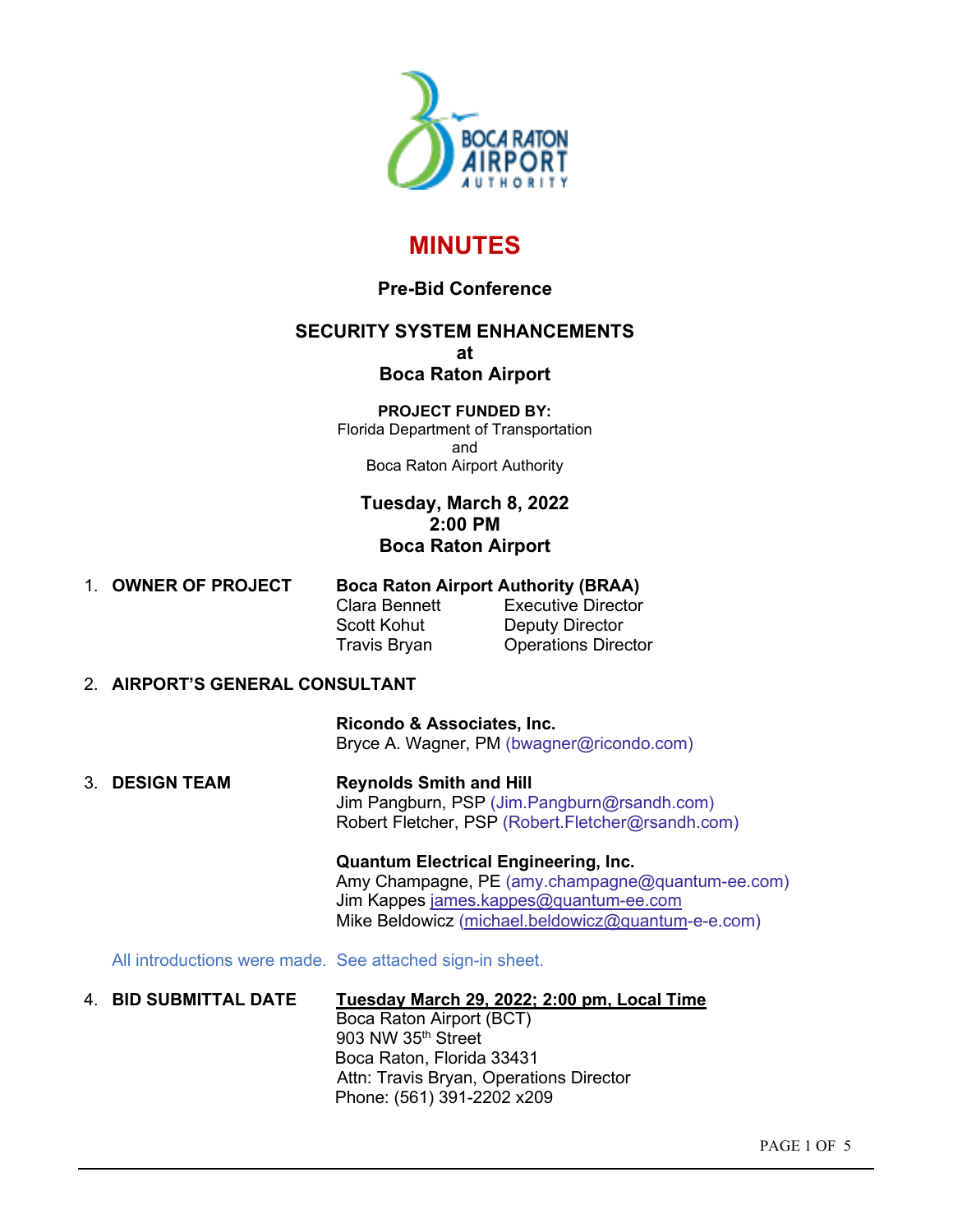

### **MINUTES**

### **Pre-Bid Conference**

### **SECURITY SYSTEM ENHANCEMENTS at Boca Raton Airport**

### **PROJECT FUNDED BY:**

Florida Department of Transportation and Boca Raton Airport Authority

### **Tuesday, March 8, 2022 2:00 PM Boca Raton Airport**

| 1. OWNER OF PROJECT |                     | <b>Boca Raton Airport Authority (BRAA)</b> |  |  |  |  |
|---------------------|---------------------|--------------------------------------------|--|--|--|--|
|                     | Clara Bennett       | <b>Executive Director</b>                  |  |  |  |  |
|                     | Scott Kohut         | Deputy Director                            |  |  |  |  |
|                     | <b>Travis Bryan</b> | <b>Operations Director</b>                 |  |  |  |  |

### 2. **AIRPORT'S GENERAL CONSULTANT**

 **Ricondo & Associates, Inc.** Bryce A. Wagner, PM [\(bwagner@ricondo.com\)](mailto:bwagner@ricondo.com)

3. **DESIGN TEAM Reynolds Smith and Hill** Jim Pangburn, PSP (Jim.Pangburn@rsandh.com) Robert Fletcher, PSP (Robert.Fletcher@rsandh.com)

> **Quantum Electrical Engineering, Inc.** Amy Champagne, PE (amy.champagne@quantum-ee.com) Jim Kappes [james.kappes@quantum-ee.com](mailto:james.kappes@quantum-ee.com) Mike Beldowicz [\(michael.beldowicz@quantum-](mailto:michael.beldowicz@quantum)e-e.com)

All introductions were made. See attached sign-in sheet.

### 4. **BID SUBMITTAL DATE Tuesday March 29, 2022; 2:00 pm, Local Time**

Boca Raton Airport (BCT) 903 NW  $35<sup>th</sup>$  Street Boca Raton, Florida 33431 Attn: Travis Bryan, Operations Director Phone: (561) 391-2202 x209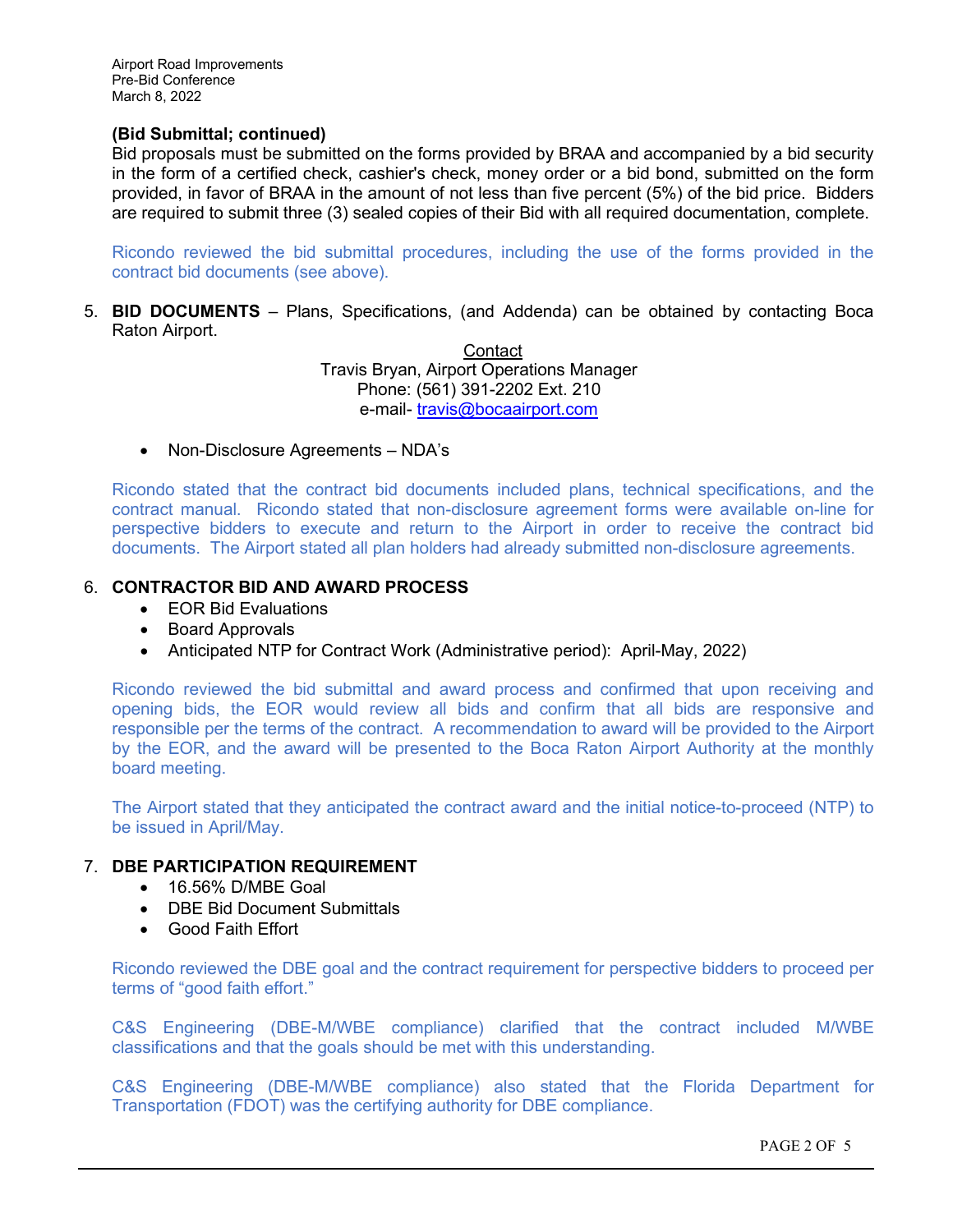### **(Bid Submittal; continued)**

Bid proposals must be submitted on the forms provided by BRAA and accompanied by a bid security in the form of a certified check, cashier's check, money order or a bid bond, submitted on the form provided, in favor of BRAA in the amount of not less than five percent (5%) of the bid price. Bidders are required to submit three (3) sealed copies of their Bid with all required documentation, complete.

Ricondo reviewed the bid submittal procedures, including the use of the forms provided in the contract bid documents (see above).

5. **BID DOCUMENTS** – Plans, Specifications, (and Addenda) can be obtained by contacting Boca Raton Airport.

> **Contact** Travis Bryan, Airport Operations Manager Phone: (561) 391-2202 Ext. 210 e-mail- [travis@bocaairport.com](mailto:travis@bocaairport.com)

• Non-Disclosure Agreements – NDA's

Ricondo stated that the contract bid documents included plans, technical specifications, and the contract manual. Ricondo stated that non-disclosure agreement forms were available on-line for perspective bidders to execute and return to the Airport in order to receive the contract bid documents. The Airport stated all plan holders had already submitted non-disclosure agreements.

### 6. **CONTRACTOR BID AND AWARD PROCESS**

- EOR Bid Evaluations
- Board Approvals
- Anticipated NTP for Contract Work (Administrative period): April-May, 2022)

Ricondo reviewed the bid submittal and award process and confirmed that upon receiving and opening bids, the EOR would review all bids and confirm that all bids are responsive and responsible per the terms of the contract. A recommendation to award will be provided to the Airport by the EOR, and the award will be presented to the Boca Raton Airport Authority at the monthly board meeting.

The Airport stated that they anticipated the contract award and the initial notice-to-proceed (NTP) to be issued in April/May.

### 7. **DBE PARTICIPATION REQUIREMENT**

- 16.56% D/MBE Goal
- DBE Bid Document Submittals
- Good Faith Effort

Ricondo reviewed the DBE goal and the contract requirement for perspective bidders to proceed per terms of "good faith effort."

C&S Engineering (DBE-M/WBE compliance) clarified that the contract included M/WBE classifications and that the goals should be met with this understanding.

C&S Engineering (DBE-M/WBE compliance) also stated that the Florida Department for Transportation (FDOT) was the certifying authority for DBE compliance.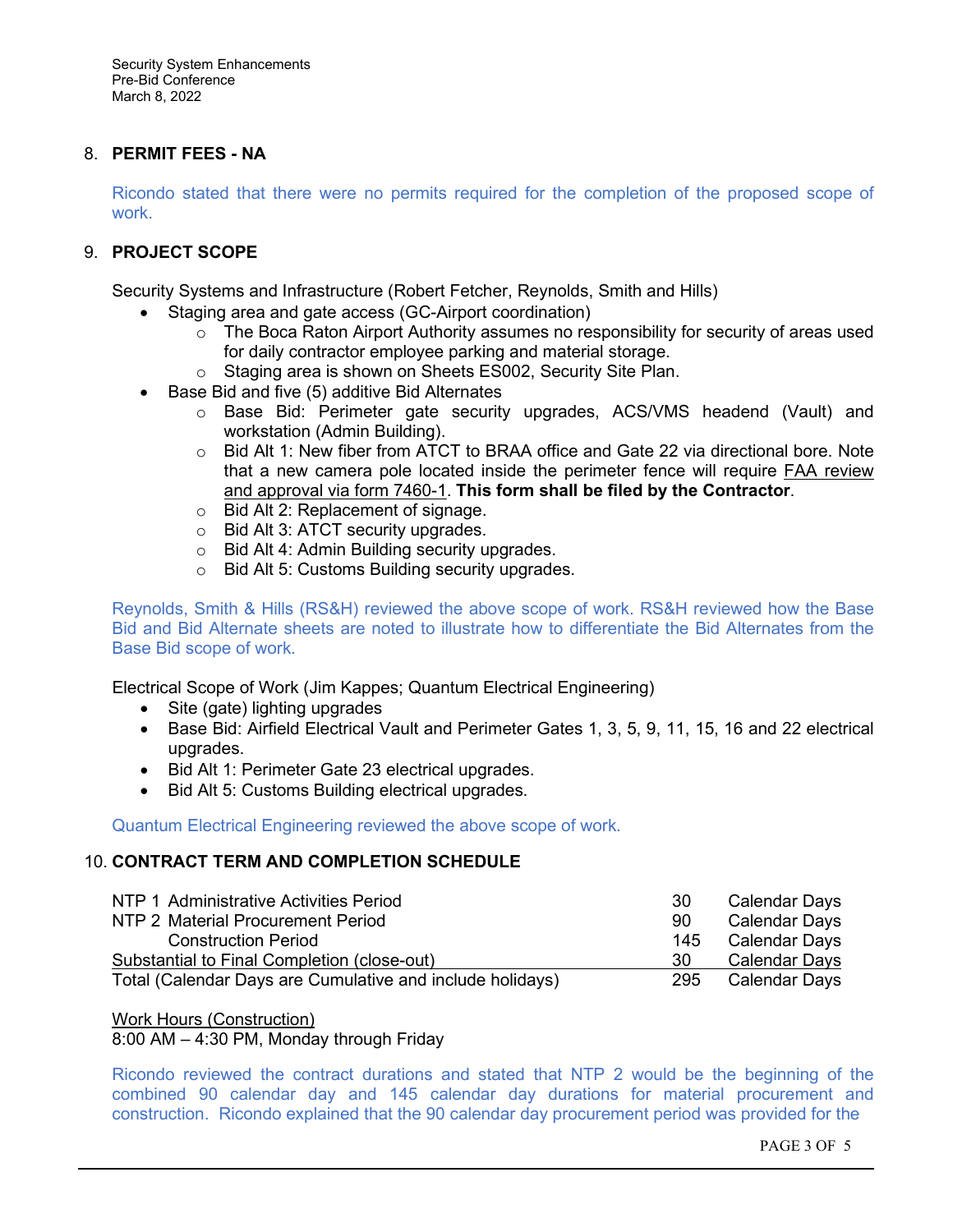Security System Enhancements Pre-Bid Conference March 8, 2022

### 8. **PERMIT FEES - NA**

Ricondo stated that there were no permits required for the completion of the proposed scope of work.

### 9. **PROJECT SCOPE**

Security Systems and Infrastructure (Robert Fetcher, Reynolds, Smith and Hills)

- Staging area and gate access (GC-Airport coordination)
	- $\circ$  The Boca Raton Airport Authority assumes no responsibility for security of areas used for daily contractor employee parking and material storage.
	- o Staging area is shown on Sheets ES002, Security Site Plan.
- Base Bid and five (5) additive Bid Alternates
	- o Base Bid: Perimeter gate security upgrades, ACS/VMS headend (Vault) and workstation (Admin Building).
	- o Bid Alt 1: New fiber from ATCT to BRAA office and Gate 22 via directional bore. Note that a new camera pole located inside the perimeter fence will require FAA review and approval via form 7460-1. **This form shall be filed by the Contractor**.
	- o Bid Alt 2: Replacement of signage.
	- o Bid Alt 3: ATCT security upgrades.
	- o Bid Alt 4: Admin Building security upgrades.
	- o Bid Alt 5: Customs Building security upgrades.

Reynolds, Smith & Hills (RS&H) reviewed the above scope of work. RS&H reviewed how the Base Bid and Bid Alternate sheets are noted to illustrate how to differentiate the Bid Alternates from the Base Bid scope of work.

Electrical Scope of Work (Jim Kappes; Quantum Electrical Engineering)

- Site (gate) lighting upgrades
- Base Bid: Airfield Electrical Vault and Perimeter Gates 1, 3, 5, 9, 11, 15, 16 and 22 electrical upgrades.
- Bid Alt 1: Perimeter Gate 23 electrical upgrades.
- Bid Alt 5: Customs Building electrical upgrades.

Quantum Electrical Engineering reviewed the above scope of work.

### 10. **CONTRACT TERM AND COMPLETION SCHEDULE**

| NTP 1 Administrative Activities Period                    | 30  | Calendar Days |
|-----------------------------------------------------------|-----|---------------|
| NTP 2 Material Procurement Period                         | 90  | Calendar Days |
| <b>Construction Period</b>                                | 145 | Calendar Days |
| Substantial to Final Completion (close-out)               | 30  | Calendar Days |
| Total (Calendar Days are Cumulative and include holidays) | 295 | Calendar Days |

### Work Hours (Construction)

8:00 AM – 4:30 PM, Monday through Friday

Ricondo reviewed the contract durations and stated that NTP 2 would be the beginning of the combined 90 calendar day and 145 calendar day durations for material procurement and construction. Ricondo explained that the 90 calendar day procurement period was provided for the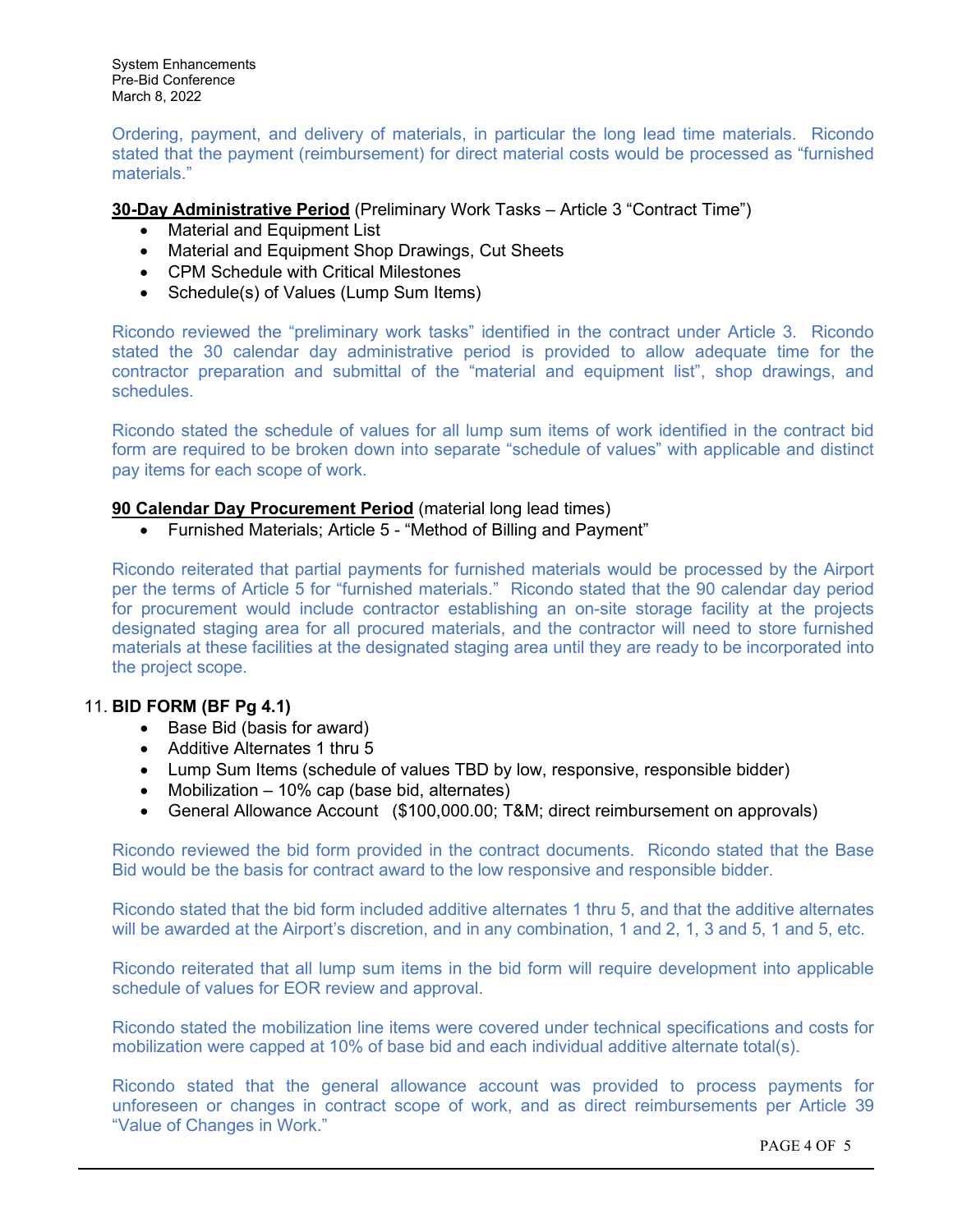System Enhancements Pre-Bid Conference March 8, 2022

Ordering, payment, and delivery of materials, in particular the long lead time materials. Ricondo stated that the payment (reimbursement) for direct material costs would be processed as "furnished materials."

### **30-Day Administrative Period** (Preliminary Work Tasks – Article 3 "Contract Time")

- Material and Equipment List
- Material and Equipment Shop Drawings, Cut Sheets
- CPM Schedule with Critical Milestones
- Schedule(s) of Values (Lump Sum Items)

Ricondo reviewed the "preliminary work tasks" identified in the contract under Article 3. Ricondo stated the 30 calendar day administrative period is provided to allow adequate time for the contractor preparation and submittal of the "material and equipment list", shop drawings, and schedules.

Ricondo stated the schedule of values for all lump sum items of work identified in the contract bid form are required to be broken down into separate "schedule of values" with applicable and distinct pay items for each scope of work.

### **90 Calendar Day Procurement Period** (material long lead times)

• Furnished Materials; Article 5 - "Method of Billing and Payment"

Ricondo reiterated that partial payments for furnished materials would be processed by the Airport per the terms of Article 5 for "furnished materials." Ricondo stated that the 90 calendar day period for procurement would include contractor establishing an on-site storage facility at the projects designated staging area for all procured materials, and the contractor will need to store furnished materials at these facilities at the designated staging area until they are ready to be incorporated into the project scope.

### 11. **BID FORM (BF Pg 4.1)**

- Base Bid (basis for award)
- Additive Alternates 1 thru 5
- Lump Sum Items (schedule of values TBD by low, responsive, responsible bidder)
- Mobilization 10% cap (base bid, alternates)
- General Allowance Account (\$100,000.00; T&M; direct reimbursement on approvals)

Ricondo reviewed the bid form provided in the contract documents. Ricondo stated that the Base Bid would be the basis for contract award to the low responsive and responsible bidder.

Ricondo stated that the bid form included additive alternates 1 thru 5, and that the additive alternates will be awarded at the Airport's discretion, and in any combination, 1 and 2, 1, 3 and 5, 1 and 5, etc.

Ricondo reiterated that all lump sum items in the bid form will require development into applicable schedule of values for EOR review and approval.

Ricondo stated the mobilization line items were covered under technical specifications and costs for mobilization were capped at 10% of base bid and each individual additive alternate total(s).

Ricondo stated that the general allowance account was provided to process payments for unforeseen or changes in contract scope of work, and as direct reimbursements per Article 39 "Value of Changes in Work."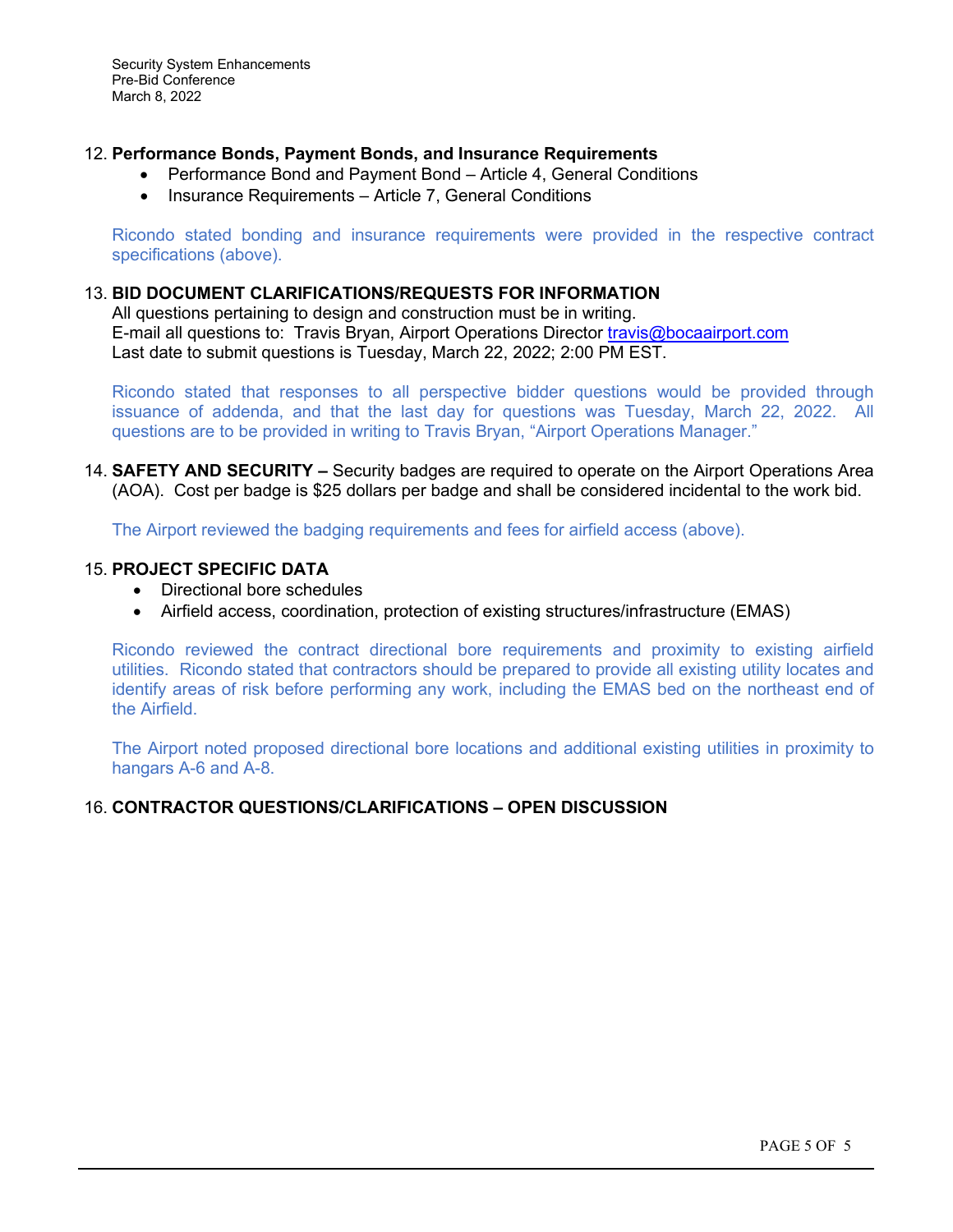Security System Enhancements Pre-Bid Conference March 8, 2022

### 12. **Performance Bonds, Payment Bonds, and Insurance Requirements**

- Performance Bond and Payment Bond Article 4, General Conditions
- Insurance Requirements Article 7, General Conditions

Ricondo stated bonding and insurance requirements were provided in the respective contract specifications (above).

### 13. **BID DOCUMENT CLARIFICATIONS/REQUESTS FOR INFORMATION**

All questions pertaining to design and construction must be in writing. E-mail all questions to: Travis Bryan, Airport Operations Director *[travis@bocaairport.com](mailto:travis@bocaairport.com)* Last date to submit questions is Tuesday, March 22, 2022; 2:00 PM EST.

Ricondo stated that responses to all perspective bidder questions would be provided through issuance of addenda, and that the last day for questions was Tuesday, March 22, 2022. All questions are to be provided in writing to Travis Bryan, "Airport Operations Manager."

14. **SAFETY AND SECURITY –** Security badges are required to operate on the Airport Operations Area (AOA). Cost per badge is \$25 dollars per badge and shall be considered incidental to the work bid.

The Airport reviewed the badging requirements and fees for airfield access (above).

### 15. **PROJECT SPECIFIC DATA**

- Directional bore schedules
- Airfield access, coordination, protection of existing structures/infrastructure (EMAS)

Ricondo reviewed the contract directional bore requirements and proximity to existing airfield utilities. Ricondo stated that contractors should be prepared to provide all existing utility locates and identify areas of risk before performing any work, including the EMAS bed on the northeast end of the Airfield.

The Airport noted proposed directional bore locations and additional existing utilities in proximity to hangars A-6 and A-8.

### 16. **CONTRACTOR QUESTIONS/CLARIFICATIONS – OPEN DISCUSSION**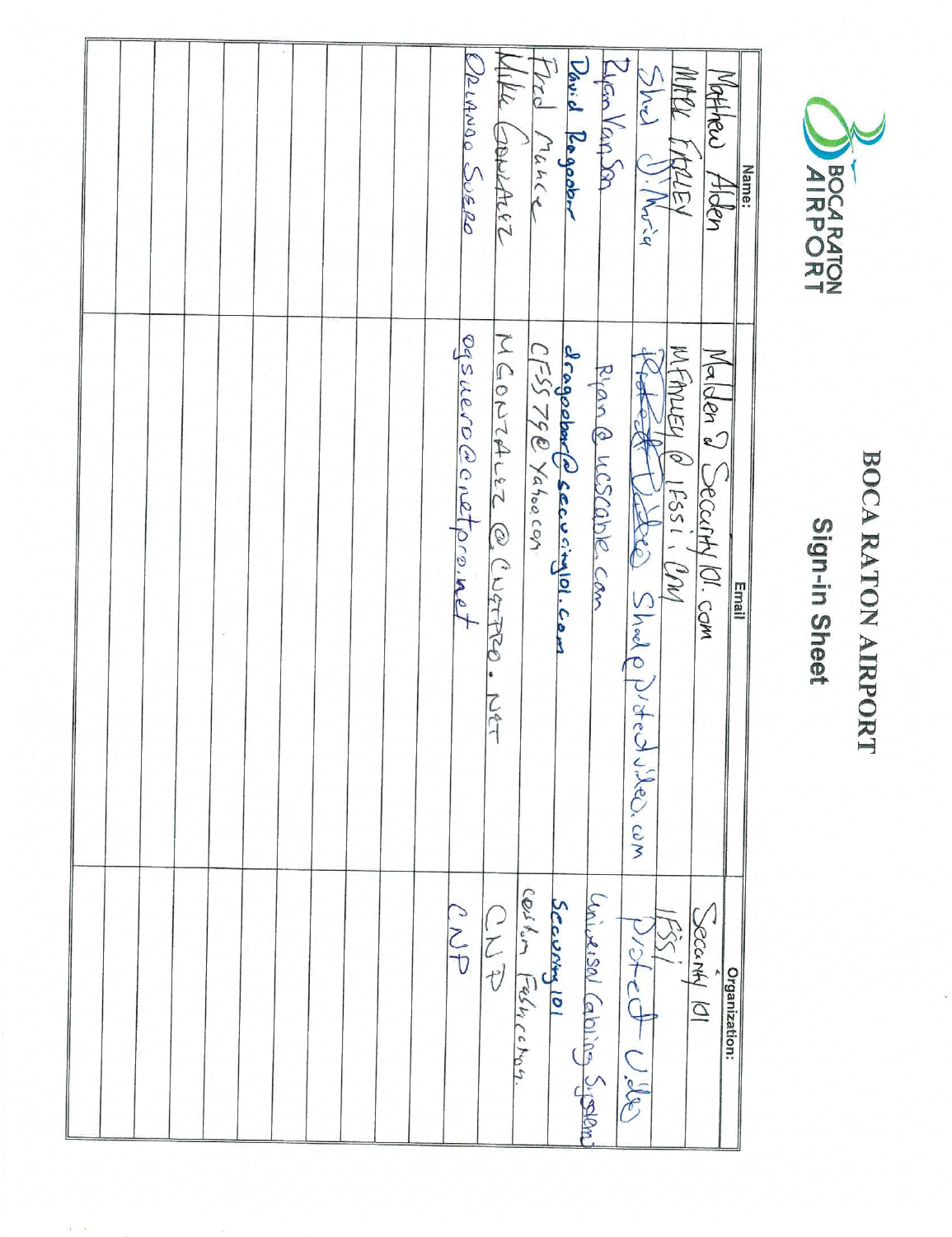

# BOCA RATON AIRPORT

## Sign-in Sheet

|  |  |  |  |  |  | URLANDO SUERO       | Wille Courner                      | Trd Mance | David Regarbor                                   | Eyen Van Son               | 5hd<br>). $/M_{V\leq q}$   | MARK ERREEY              | Watther<br>Alden          | Name:         |
|--|--|--|--|--|--|---------------------|------------------------------------|-----------|--------------------------------------------------|----------------------------|----------------------------|--------------------------|---------------------------|---------------|
|  |  |  |  |  |  | ogsuero@cnetpro.met | MGONTALEZ @ CUGTPRO<br><b>NSET</b> |           | dragoebarfelsecuringlol.com<br>CFSS 790 Yahoocan | Rian @ UCSCQDIR. Can       | Cette Shalp Noted Wes. com | MFANIEN Q<br>$15551.$ UM | Malden 2 Secenty 101. com | <b>Email</b>  |
|  |  |  |  |  |  | CNP                 | Scevery 101<br>Cestle Felhichon.   |           |                                                  | aniversal Caloring Sigeral | $D/2f$ cot Ulle            |                          | SOCOMY 101                | Organization: |

 $\tilde{t}$  .